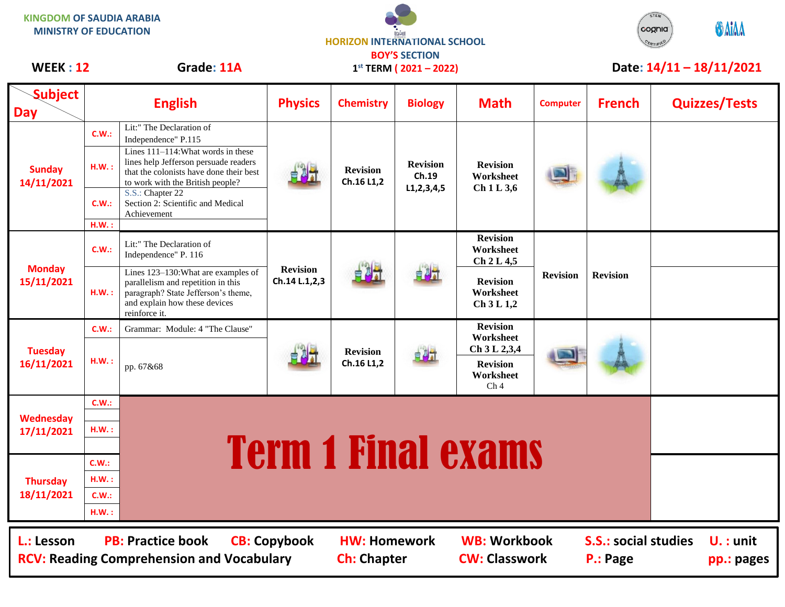| <b>KINGDOM OF SAUDIA ARABIA</b><br><b>MINISTRY OF EDUCATION</b> |       |                                                                                                                                                                    | <b>HORIZON INTERNATIONAL SCHOOL</b><br><b>BOY'S SECTION</b> |                                           |                                            |                                                                              |                          |                                         | cognia | <b>O</b> AIAA             |
|-----------------------------------------------------------------|-------|--------------------------------------------------------------------------------------------------------------------------------------------------------------------|-------------------------------------------------------------|-------------------------------------------|--------------------------------------------|------------------------------------------------------------------------------|--------------------------|-----------------------------------------|--------|---------------------------|
| Grade: 11A<br><b>WEEK: 12</b>                                   |       | $1^{st}$ TERM ( $2021 - 2022$ )                                                                                                                                    |                                                             |                                           |                                            |                                                                              | Date: 14/11 - 18/11/2021 |                                         |        |                           |
| <b>Subject</b><br><b>Day</b>                                    |       | <b>English</b>                                                                                                                                                     | <b>Physics</b>                                              | <b>Chemistry</b>                          | <b>Biology</b>                             | <b>Math</b>                                                                  | <b>Computer</b>          | <b>French</b>                           |        | <b>Quizzes/Tests</b>      |
| <b>Sunday</b><br>14/11/2021                                     | C.W.: | Lit:" The Declaration of<br>Independence" P.115                                                                                                                    |                                                             | <b>Revision</b><br>Ch.16 L1,2             | <b>Revision</b><br>Ch.19<br>L1, 2, 3, 4, 5 | <b>Revision</b><br>Worksheet<br>Ch1L3,6                                      |                          |                                         |        |                           |
|                                                                 | H.W.: | Lines 111-114: What words in these<br>lines help Jefferson persuade readers<br>that the colonists have done their best<br>to work with the British people?         |                                                             |                                           |                                            |                                                                              |                          |                                         |        |                           |
|                                                                 | C.W.: | S.S.: Chapter 22<br>Section 2: Scientific and Medical<br>Achievement                                                                                               |                                                             |                                           |                                            |                                                                              |                          |                                         |        |                           |
|                                                                 | H.W.: |                                                                                                                                                                    |                                                             |                                           |                                            |                                                                              |                          |                                         |        |                           |
| <b>Monday</b><br>15/11/2021                                     | C.W.: | Lit:" The Declaration of<br>Independence" P. 116                                                                                                                   | <b>Revision</b><br>Ch.14 L.1,2,3                            |                                           | 自身式                                        | <b>Revision</b><br>Worksheet<br>Ch 2 L 4,5                                   | <b>Revision</b>          | <b>Revision</b>                         |        |                           |
|                                                                 | H.W.: | Lines 123-130: What are examples of<br>parallelism and repetition in this<br>paragraph? State Jefferson's theme,<br>and explain how these devices<br>reinforce it. |                                                             |                                           |                                            | <b>Revision</b><br>Worksheet<br>Ch 3 L 1,2                                   |                          |                                         |        |                           |
| <b>Tuesday</b><br>16/11/2021                                    | C.W.: | Grammar: Module: 4 "The Clause"                                                                                                                                    |                                                             | <b>Revision</b><br>Ch.16 L1,2             | 自身式                                        | <b>Revision</b>                                                              |                          |                                         |        |                           |
|                                                                 | H.W.: | pp. 67&68                                                                                                                                                          |                                                             |                                           |                                            | Worksheet<br>Ch 3 L 2,3,4<br><b>Revision</b><br>Worksheet<br>Ch <sub>4</sub> |                          |                                         |        |                           |
| Wednesday<br>17/11/2021                                         | C.W.: |                                                                                                                                                                    |                                                             |                                           |                                            |                                                                              |                          |                                         |        |                           |
|                                                                 |       |                                                                                                                                                                    |                                                             |                                           |                                            |                                                                              |                          |                                         |        |                           |
|                                                                 | H.W.: |                                                                                                                                                                    |                                                             |                                           |                                            |                                                                              |                          |                                         |        |                           |
| <b>Thursday</b><br>18/11/2021                                   | C.W.: | <b>Term 1 Final exams</b>                                                                                                                                          |                                                             |                                           |                                            |                                                                              |                          |                                         |        |                           |
|                                                                 | H.W.: |                                                                                                                                                                    |                                                             |                                           |                                            |                                                                              |                          |                                         |        |                           |
|                                                                 | C.W.: |                                                                                                                                                                    |                                                             |                                           |                                            |                                                                              |                          |                                         |        |                           |
|                                                                 | H.W.: |                                                                                                                                                                    |                                                             |                                           |                                            |                                                                              |                          |                                         |        |                           |
| L.: Lesson                                                      |       | <b>PB: Practice book</b><br><b>RCV: Reading Comprehension and Vocabulary</b>                                                                                       | <b>CB: Copybook</b>                                         | <b>HW: Homework</b><br><b>Ch: Chapter</b> |                                            | <b>WB: Workbook</b><br><b>CW: Classwork</b>                                  |                          | <b>S.S.: social studies</b><br>P.: Page |        | $U.$ : unit<br>pp.: pages |

 $\Delta$